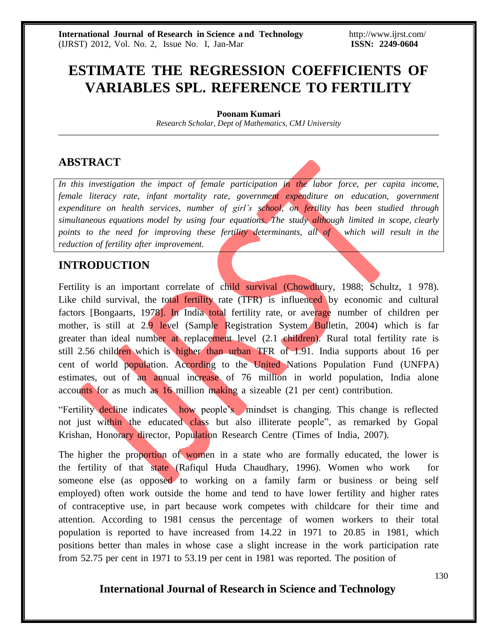# **ESTIMATE THE REGRESSION COEFFICIENTS OF VARIABLES SPL. REFERENCE TO FERTILITY**

#### **Poonam Kumari**

*Research Scholar, Dept of Mathematics, CMJ University*

### **ABSTRACT**

*In this investigation the impact of female participation in the labor force, per capita income, female literacy rate, infant mortality rate, government expenditure on education, government expenditure on health services, number of girl's school, on fertility has been studied through simultaneous equations model by using four equations. The study although limited in scope, clearly points to the need for improving these fertility determinants, all of which will result in the reduction of fertility after improvement.*

## **INTRODUCTION**

Fertility is an important correlate of child survival (Chowdhury, 1988; Schultz, 1 978). Like child survival, the total fertility rate (TFR) is influenced by economic and cultural factors [Bongaarts, 1978]. In India total fertility rate, or average number of children per mother, is still at 2.9 level (Sample Registration System Bulletin, 2004) which is far greater than ideal number at replacement level (2.1 children). Rural total fertility rate is still 2.56 children which is higher than urban TFR of 1.91. India supports about 16 per cent of world population. According to the United Nations Population Fund (UNFPA) estimates, out of an annual increase of 76 million in world population, India alone accounts for as much as 16 million making a sizeable (21 per cent) contribution.

"Fertility decline indicates how people's mindset is changing. This change is reflected not just within the educated class but also illiterate people", as remarked by Gopal Krishan, Honorary director, Population Research Centre (Times of India, 2007).

The higher the proportion of women in a state who are formally educated, the lower is the fertility of that state (Rafiqul Huda Chaudhary, 1996). Women who work for someone else (as opposed to working on a family farm or business or being self employed) often work outside the home and tend to have lower fertility and higher rates of contraceptive use, in part because work competes with childcare for their time and attention. According to 1981 census the percentage of women workers to their total population is reported to have increased from 14.22 in 1971 to 20.85 in 1981, which positions better than males in whose case a slight increase in the work participation rate from 52.75 per cent in 1971 to 53.19 per cent in 1981 was reported. The position of

### **International Journal of Research in Science and Technology**

130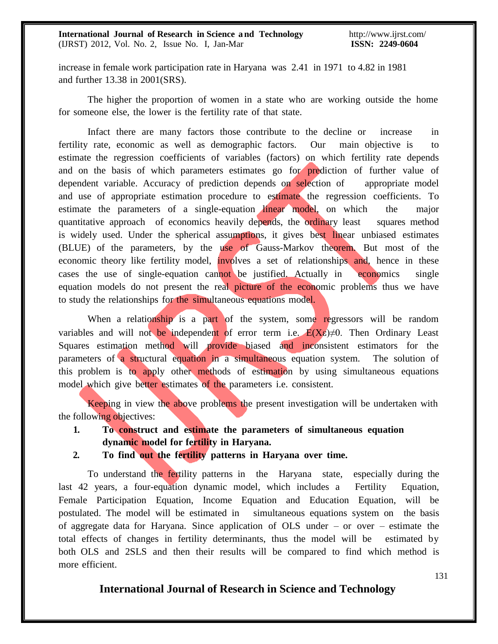increase in female work participation rate in Haryana was 2.41 in 1971 to 4.82 in 1981 and further 13.38 in 2001(SRS).

The higher the proportion of women in a state who are working outside the home for someone else, the lower is the fertility rate of that state.

Infact there are many factors those contribute to the decline or increase in fertility rate, economic as well as demographic factors. Our main objective is to estimate the regression coefficients of variables (factors) on which fertility rate depends and on the basis of which parameters estimates go for prediction of further value of dependent variable. Accuracy of prediction depends on selection of appropriate model and use of appropriate estimation procedure to estimate the regression coefficients. To estimate the parameters of a single-equation linear model, on which the major quantitative approach of economics heavily depends, the ordinary least squares method is widely used. Under the spherical assumptions, it gives best linear unbiased estimates (BLUE) of the parameters, by the use of Gauss-Markov theorem. But most of the economic theory like fertility model, **involves** a set of relationships and, hence in these cases the use of single-equation cannot be justified. Actually in economics single equation models do not present the real picture of the economic problems thus we have to study the relationships for the simultaneous equations model.

When a relationship is a part of the system, some regressors will be random variables and will not be independent of error term i.e.  $E(X_{\epsilon}) \neq 0$ . Then Ordinary Least Squares estimation method will provide biased and inconsistent estimators for the parameters of a structural equation in a simultaneous equation system. The solution of this problem is to apply other methods of estimation by using simultaneous equations model which give better estimates of the parameters i.e. consistent.

Keeping in view the above problems the present investigation will be undertaken with the following objectives:

- **1. To construct and estimate the parameters of simultaneous equation dynamic model for fertility in Haryana.**
- **2. To find out the fertility patterns in Haryana over time.**

To understand the fertility patterns in the Haryana state, especially during the last 42 years, a four-equation dynamic model, which includes a Fertility Equation, Female Participation Equation, Income Equation and Education Equation, will be postulated. The model will be estimated in simultaneous equations system on the basis of aggregate data for Haryana. Since application of OLS under – or over – estimate the total effects of changes in fertility determinants, thus the model will be estimated by both OLS and 2SLS and then their results will be compared to find which method is more efficient.

#### **International Journal of Research in Science and Technology**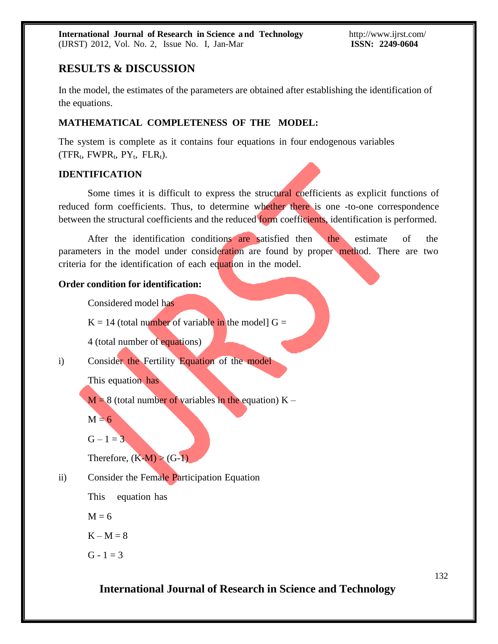### **RESULTS & DISCUSSION**

In the model, the estimates of the parameters are obtained after establishing the identification of the equations.

#### **MATHEMATICAL COMPLETENESS OF THE MODEL:**

The system is complete as it contains four equations in four endogenous variables  $(TFR_t, FWPR_t, PY_t, FLR_t).$ 

#### **IDENTIFICATION**

Some times it is difficult to express the structural coefficients as explicit functions of reduced form coefficients. Thus, to determine whether there is one -to-one correspondence between the structural coefficients and the reduced form coefficients, identification is performed.

After the identification conditions are satisfied then the estimate of the parameters in the model under consideration are found by proper method. There are two criteria for the identification of each equation in the model.

#### **Order condition for identification:**

Considered model has

 $K = 14$  (total number of variable in the model)  $G =$ 

4 (total number of equations)

i) Consider the Fertility Equation of the model

This equation has

 $M = 8$  (total number of variables in the equation)  $K -$ 

 $M = 6$ 

 $G - 1 = 3$ 

Therefore,  $(K-M) > (G-1)$ 

ii) Consider the Female Participation Equation

This equation has

 $M = 6$ 

 $K - M = 8$ 

 $G - 1 = 3$ 

**International Journal of Research in Science and Technology**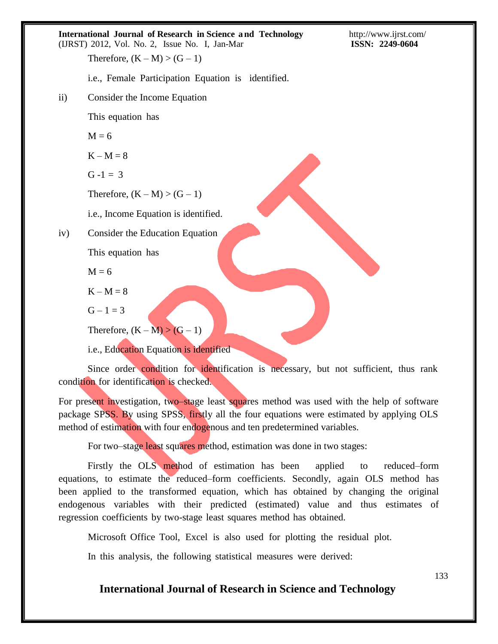|           | <b>International Journal of Research in Science and Technology</b><br>(IJRST) 2012, Vol. No. 2, Issue No. I, Jan-Mar | http://www.ijrst.cor<br>ISSN: 2249-0604 |
|-----------|----------------------------------------------------------------------------------------------------------------------|-----------------------------------------|
|           | Therefore, $(K - M) > (G - 1)$                                                                                       |                                         |
|           | i.e., Female Participation Equation is identified.                                                                   |                                         |
| $\rm ii)$ | Consider the Income Equation                                                                                         |                                         |
|           | This equation has                                                                                                    |                                         |
|           | $M = 6$                                                                                                              |                                         |
|           | $K - M = 8$                                                                                                          |                                         |
|           | $G - 1 = 3$                                                                                                          |                                         |
|           | Therefore, $(K - M) > (G - 1)$                                                                                       |                                         |
|           | i.e., Income Equation is identified.                                                                                 |                                         |
| iv)       | Consider the Education Equation                                                                                      |                                         |
|           | This equation has                                                                                                    |                                         |
|           | $M = 6$                                                                                                              |                                         |
|           | $K - M = 8$                                                                                                          |                                         |
|           | $G - 1 = 3$                                                                                                          |                                         |

Therefore,  $(K - M) > (G - 1)$ 

i.e., Education Equation is identified

Since order condition for identification is necessary, but not sufficient, thus rank condition for identification is checked.

For present investigation, two–stage least squares method was used with the help of software package SPSS. By using SPSS, firstly all the four equations were estimated by applying OLS method of estimation with four endogenous and ten predetermined variables.

For two–stage least squares method, estimation was done in two stages:

Firstly the OLS method of estimation has been applied to reduced–form equations, to estimate the reduced–form coefficients. Secondly, again OLS method has been applied to the transformed equation, which has obtained by changing the original endogenous variables with their predicted (estimated) value and thus estimates of regression coefficients by two-stage least squares method has obtained.

Microsoft Office Tool, Excel is also used for plotting the residual plot.

In this analysis, the following statistical measures were derived:

**International Journal of Research in Science and Technology**

133

.ijrst.com/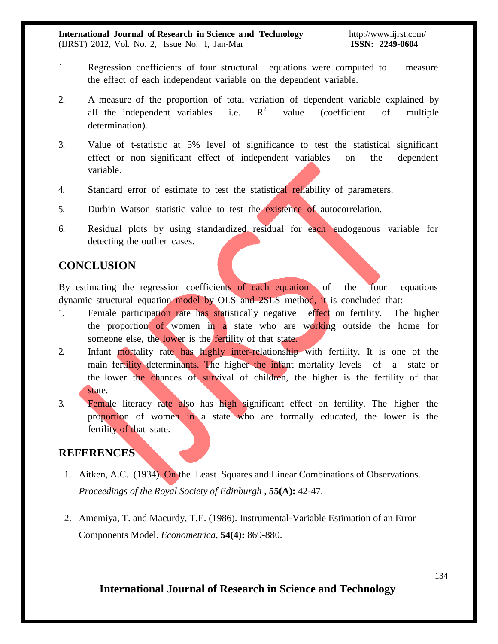**International Journal of Research in Science a nd Technology** (IJRST) 2012, Vol. No. 2, Issue No. I, Jan-Mar

- 1. Regression coefficients of four structural equations were computed to measure the effect of each independent variable on the dependent variable.
- 2. A measure of the proportion of total variation of dependent variable explained by all the independent variables i.e.  $R^2$  value (coefficient of multiple determination).
- 3. Value of t-statistic at 5% level of significance to test the statistical significant effect or non–significant effect of independent variables on the dependent variable.
- 4. Standard error of estimate to test the statistical reliability of parameters.
- 5. Durbin–Watson statistic value to test the existence of autocorrelation.
- 6. Residual plots by using standardized residual for each endogenous variable for detecting the outlier cases.

### **CONCLUSION**

By estimating the regression coefficients of each equation of the four equations dynamic structural equation model by OLS and 2SLS method, it is concluded that:

- 1. Female participation rate has statistically negative effect on fertility. The higher the proportion of women in a state who are working outside the home for someone else, the lower is the fertility of that state.
- 2. Infant mortality rate has highly inter-relationship with fertility. It is one of the main fertility determinants. The higher the infant mortality levels of a state or the lower the chances of survival of children, the higher is the fertility of that state.
- 3. Female literacy rate also has high significant effect on fertility. The higher the proportion of women in a state who are formally educated, the lower is the fertility of that state.

### **REFERENCES**

- 1. Aitken, A.C. (1934). On the Least Squares and Linear Combinations of Observations. *Proceedings of the Royal Society of Edinburgh* , **55(A):** 42-47.
- 2. Amemiya, T. and Macurdy, T.E. (1986). Instrumental-Variable Estimation of an Error Components Model. *Econometrica,* **54(4):** 869-880.

### **International Journal of Research in Science and Technology**